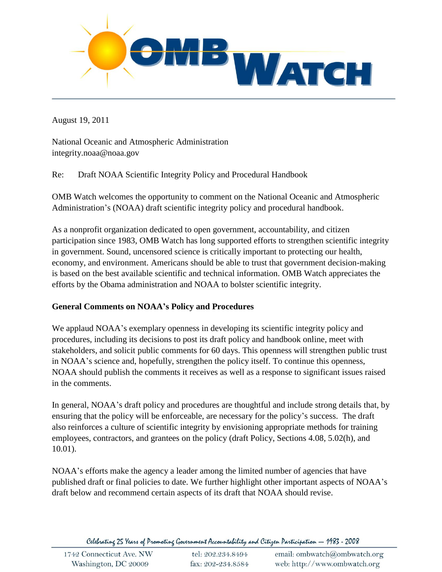

August 19, 2011

National Oceanic and Atmospheric Administration integrity.noaa@noaa.gov

Re: Draft NOAA Scientific Integrity Policy and Procedural Handbook

OMB Watch welcomes the opportunity to comment on the National Oceanic and Atmospheric Administration's (NOAA) draft scientific integrity policy and procedural handbook.

As a nonprofit organization dedicated to open government, accountability, and citizen participation since 1983, OMB Watch has long supported efforts to strengthen scientific integrity in government. Sound, uncensored science is critically important to protecting our health, economy, and environment. Americans should be able to trust that government decision-making is based on the best available scientific and technical information. OMB Watch appreciates the efforts by the Obama administration and NOAA to bolster scientific integrity.

#### **General Comments on NOAA's Policy and Procedures**

We applaud NOAA's exemplary openness in developing its scientific integrity policy and procedures, including its decisions to post its draft policy and handbook online, meet with stakeholders, and solicit public comments for 60 days. This openness will strengthen public trust in NOAA's science and, hopefully, strengthen the policy itself. To continue this openness, NOAA should publish the comments it receives as well as a response to significant issues raised in the comments.

In general, NOAA's draft policy and procedures are thoughtful and include strong details that, by ensuring that the policy will be enforceable, are necessary for the policy's success. The draft also reinforces a culture of scientific integrity by envisioning appropriate methods for training employees, contractors, and grantees on the policy (draft Policy, Sections 4.08, 5.02(h), and 10.01).

NOAA's efforts make the agency a leader among the limited number of agencies that have published draft or final policies to date. We further highlight other important aspects of NOAA's draft below and recommend certain aspects of its draft that NOAA should revise.

Celebrating 25 Years of Promoting Government Accountability and Citizen Participation - 1983 - 2008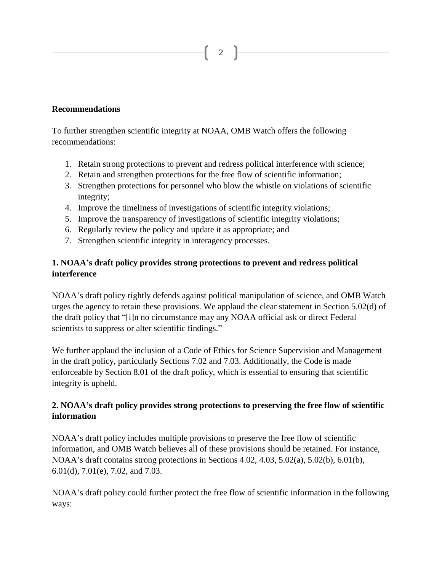## **Recommendations**

To further strengthen scientific integrity at NOAA, OMB Watch offers the following recommendations:

1. Retain strong protections to prevent and redress political interference with science;

2

- 2. Retain and strengthen protections for the free flow of scientific information;
- 3. Strengthen protections for personnel who blow the whistle on violations of scientific integrity;
- 4. Improve the timeliness of investigations of scientific integrity violations;
- 5. Improve the transparency of investigations of scientific integrity violations;
- 6. Regularly review the policy and update it as appropriate; and
- 7. Strengthen scientific integrity in interagency processes.

### **1. NOAA's draft policy provides strong protections to prevent and redress political interference**

NOAA's draft policy rightly defends against political manipulation of science, and OMB Watch urges the agency to retain these provisions. We applaud the clear statement in Section 5.02(d) of the draft policy that "[i]n no circumstance may any NOAA official ask or direct Federal scientists to suppress or alter scientific findings."

We further applaud the inclusion of a Code of Ethics for Science Supervision and Management in the draft policy, particularly Sections 7.02 and 7.03. Additionally, the Code is made enforceable by Section 8.01 of the draft policy, which is essential to ensuring that scientific integrity is upheld.

### **2. NOAA's draft policy provides strong protections to preserving the free flow of scientific information**

NOAA's draft policy includes multiple provisions to preserve the free flow of scientific information, and OMB Watch believes all of these provisions should be retained. For instance, NOAA's draft contains strong protections in Sections 4.02, 4.03, 5.02(a), 5.02(b), 6.01(b), 6.01(d), 7.01(e), 7.02, and 7.03.

NOAA's draft policy could further protect the free flow of scientific information in the following ways: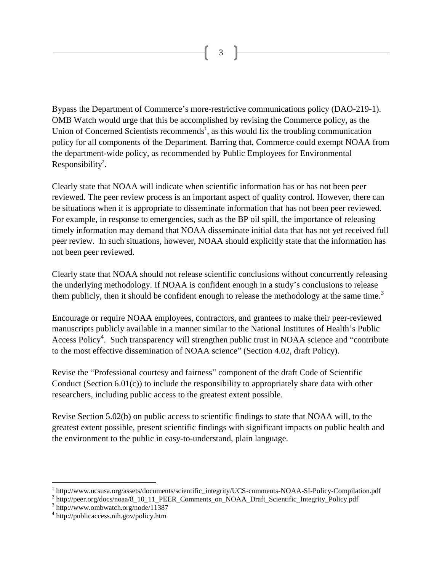Bypass the Department of Commerce's more-restrictive communications policy (DAO-219-1). OMB Watch would urge that this be accomplished by revising the Commerce policy, as the Union of Concerned Scientists recommends<sup>1</sup>, as this would fix the troubling communication policy for all components of the Department. Barring that, Commerce could exempt NOAA from the department-wide policy, as recommended by Public Employees for Environmental Responsibility<sup>2</sup>.

Clearly state that NOAA will indicate when scientific information has or has not been peer reviewed. The peer review process is an important aspect of quality control. However, there can be situations when it is appropriate to disseminate information that has not been peer reviewed. For example, in response to emergencies, such as the BP oil spill, the importance of releasing timely information may demand that NOAA disseminate initial data that has not yet received full peer review. In such situations, however, NOAA should explicitly state that the information has not been peer reviewed.

Clearly state that NOAA should not release scientific conclusions without concurrently releasing the underlying methodology. If NOAA is confident enough in a study's conclusions to release them publicly, then it should be confident enough to release the methodology at the same time.<sup>3</sup>

Encourage or require NOAA employees, contractors, and grantees to make their peer-reviewed manuscripts publicly available in a manner similar to the National Institutes of Health's Public Access Policy<sup>4</sup>. Such transparency will strengthen public trust in NOAA science and "contribute to the most effective dissemination of NOAA science" (Section 4.02, draft Policy).

Revise the "Professional courtesy and fairness" component of the draft Code of Scientific Conduct (Section 6.01(c)) to include the responsibility to appropriately share data with other researchers, including public access to the greatest extent possible.

Revise Section 5.02(b) on public access to scientific findings to state that NOAA will, to the greatest extent possible, present scientific findings with significant impacts on public health and the environment to the public in easy-to-understand, plain language.

 $\overline{a}$ 

<sup>&</sup>lt;sup>1</sup> http://www.ucsusa.org/assets/documents/scientific\_integrity/UCS-comments-NOAA-SI-Policy-Compilation.pdf

<sup>&</sup>lt;sup>2</sup> http://peer.org/docs/noaa/8\_10\_11\_PEER\_Comments\_on\_NOAA\_Draft\_Scientific\_Integrity\_Policy.pdf

<sup>3</sup> http://www.ombwatch.org/node/11387

<sup>4</sup> http://publicaccess.nih.gov/policy.htm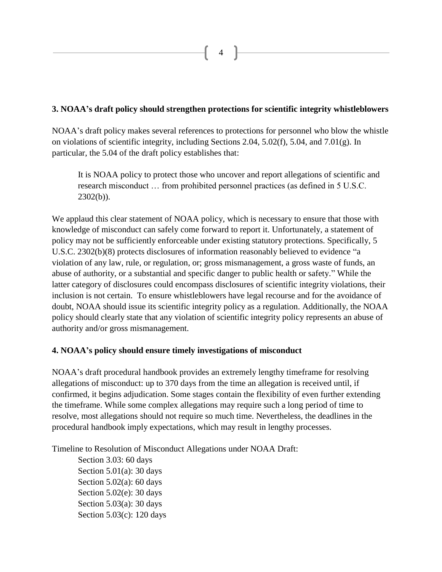#### **3. NOAA's draft policy should strengthen protections for scientific integrity whistleblowers**

NOAA's draft policy makes several references to protections for personnel who blow the whistle on violations of scientific integrity, including Sections 2.04, 5.02(f), 5.04, and 7.01(g). In particular, the 5.04 of the draft policy establishes that:

It is NOAA policy to protect those who uncover and report allegations of scientific and research misconduct … from prohibited personnel practices (as defined in 5 U.S.C.  $2302(b)$ ).

We applaud this clear statement of NOAA policy, which is necessary to ensure that those with knowledge of misconduct can safely come forward to report it. Unfortunately, a statement of policy may not be sufficiently enforceable under existing statutory protections. Specifically, 5 U.S.C. 2302(b)(8) protects disclosures of information reasonably believed to evidence "a violation of any law, rule, or regulation, or; gross mismanagement, a gross waste of funds, an abuse of authority, or a substantial and specific danger to public health or safety." While the latter category of disclosures could encompass disclosures of scientific integrity violations, their inclusion is not certain. To ensure whistleblowers have legal recourse and for the avoidance of doubt, NOAA should issue its scientific integrity policy as a regulation. Additionally, the NOAA policy should clearly state that any violation of scientific integrity policy represents an abuse of authority and/or gross mismanagement.

#### **4. NOAA's policy should ensure timely investigations of misconduct**

NOAA's draft procedural handbook provides an extremely lengthy timeframe for resolving allegations of misconduct: up to 370 days from the time an allegation is received until, if confirmed, it begins adjudication. Some stages contain the flexibility of even further extending the timeframe. While some complex allegations may require such a long period of time to resolve, most allegations should not require so much time. Nevertheless, the deadlines in the procedural handbook imply expectations, which may result in lengthy processes.

Timeline to Resolution of Misconduct Allegations under NOAA Draft:

Section 3.03: 60 days Section  $5.01(a)$ : 30 days Section  $5.02(a)$ : 60 days Section 5.02(e): 30 days Section 5.03(a): 30 days Section 5.03(c): 120 days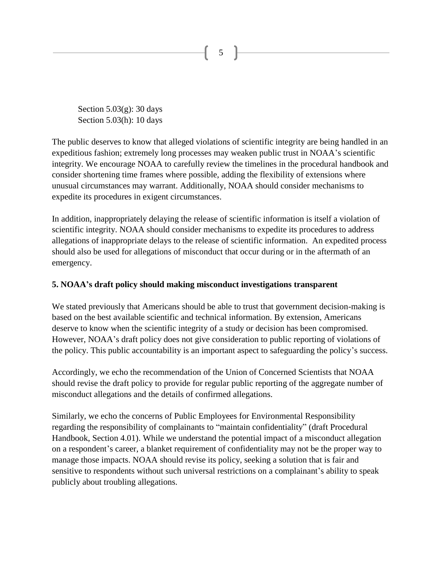Section 5.03(g): 30 days Section 5.03(h): 10 days

The public deserves to know that alleged violations of scientific integrity are being handled in an expeditious fashion; extremely long processes may weaken public trust in NOAA's scientific integrity. We encourage NOAA to carefully review the timelines in the procedural handbook and consider shortening time frames where possible, adding the flexibility of extensions where unusual circumstances may warrant. Additionally, NOAA should consider mechanisms to expedite its procedures in exigent circumstances.

5

In addition, inappropriately delaying the release of scientific information is itself a violation of scientific integrity. NOAA should consider mechanisms to expedite its procedures to address allegations of inappropriate delays to the release of scientific information. An expedited process should also be used for allegations of misconduct that occur during or in the aftermath of an emergency.

#### **5. NOAA's draft policy should making misconduct investigations transparent**

We stated previously that Americans should be able to trust that government decision-making is based on the best available scientific and technical information. By extension, Americans deserve to know when the scientific integrity of a study or decision has been compromised. However, NOAA's draft policy does not give consideration to public reporting of violations of the policy. This public accountability is an important aspect to safeguarding the policy's success.

Accordingly, we echo the recommendation of the Union of Concerned Scientists that NOAA should revise the draft policy to provide for regular public reporting of the aggregate number of misconduct allegations and the details of confirmed allegations.

Similarly, we echo the concerns of Public Employees for Environmental Responsibility regarding the responsibility of complainants to "maintain confidentiality" (draft Procedural Handbook, Section 4.01). While we understand the potential impact of a misconduct allegation on a respondent's career, a blanket requirement of confidentiality may not be the proper way to manage those impacts. NOAA should revise its policy, seeking a solution that is fair and sensitive to respondents without such universal restrictions on a complainant's ability to speak publicly about troubling allegations.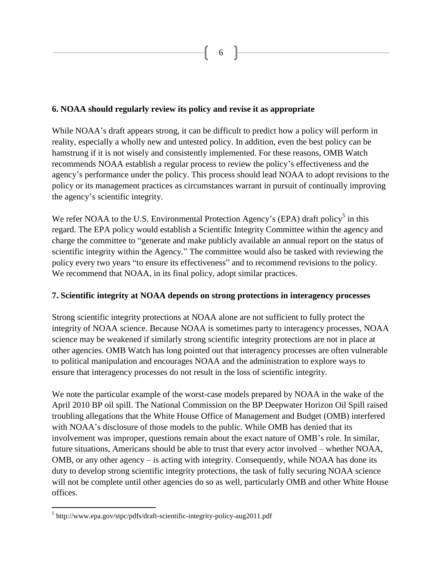### **6. NOAA should regularly review its policy and revise it as appropriate**

While NOAA's draft appears strong, it can be difficult to predict how a policy will perform in reality, especially a wholly new and untested policy. In addition, even the best policy can be hamstrung if it is not wisely and consistently implemented. For these reasons, OMB Watch recommends NOAA establish a regular process to review the policy's effectiveness and the agency's performance under the policy. This process should lead NOAA to adopt revisions to the policy or its management practices as circumstances warrant in pursuit of continually improving the agency's scientific integrity.

We refer NOAA to the U.S. Environmental Protection Agency's (EPA) draft policy<sup>5</sup> in this regard. The EPA policy would establish a Scientific Integrity Committee within the agency and charge the committee to "generate and make publicly available an annual report on the status of scientific integrity within the Agency." The committee would also be tasked with reviewing the policy every two years "to ensure its effectiveness" and to recommend revisions to the policy. We recommend that NOAA, in its final policy, adopt similar practices.

#### **7. Scientific integrity at NOAA depends on strong protections in interagency processes**

Strong scientific integrity protections at NOAA alone are not sufficient to fully protect the integrity of NOAA science. Because NOAA is sometimes party to interagency processes, NOAA science may be weakened if similarly strong scientific integrity protections are not in place at other agencies. OMB Watch has long pointed out that interagency processes are often vulnerable to political manipulation and encourages NOAA and the administration to explore ways to ensure that interagency processes do not result in the loss of scientific integrity.

We note the particular example of the worst-case models prepared by NOAA in the wake of the April 2010 BP oil spill. The National Commission on the BP Deepwater Horizon Oil Spill raised troubling allegations that the White House Office of Management and Budget (OMB) interfered with NOAA's disclosure of those models to the public. While OMB has denied that its involvement was improper, questions remain about the exact nature of OMB's role. In similar, future situations, Americans should be able to trust that every actor involved – whether NOAA, OMB, or any other agency – is acting with integrity. Consequently, while NOAA has done its duty to develop strong scientific integrity protections, the task of fully securing NOAA science will not be complete until other agencies do so as well, particularly OMB and other White House offices.

 $\overline{a}$ 

<sup>&</sup>lt;sup>5</sup> http://www.epa.gov/stpc/pdfs/draft-scientific-integrity-policy-aug2011.pdf